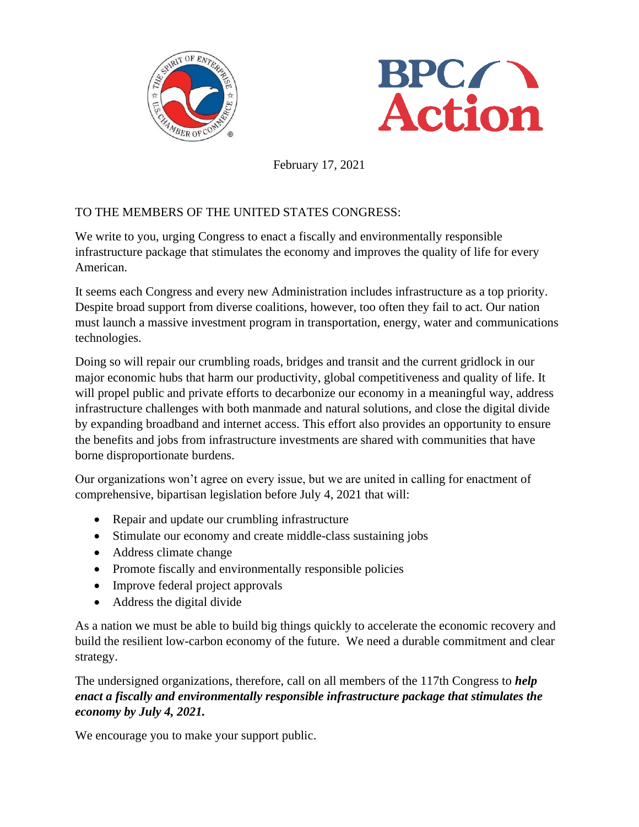



February 17, 2021

## TO THE MEMBERS OF THE UNITED STATES CONGRESS:

We write to you, urging Congress to enact a fiscally and environmentally responsible infrastructure package that stimulates the economy and improves the quality of life for every American.

It seems each Congress and every new Administration includes infrastructure as a top priority. Despite broad support from diverse coalitions, however, too often they fail to act. Our nation must launch a massive investment program in transportation, energy, water and communications technologies.

Doing so will repair our crumbling roads, bridges and transit and the current gridlock in our major economic hubs that harm our productivity, global competitiveness and quality of life. It will propel public and private efforts to decarbonize our economy in a meaningful way, address infrastructure challenges with both manmade and natural solutions, and close the digital divide by expanding broadband and internet access. This effort also provides an opportunity to ensure the benefits and jobs from infrastructure investments are shared with communities that have borne disproportionate burdens.

Our organizations won't agree on every issue, but we are united in calling for enactment of comprehensive, bipartisan legislation before July 4, 2021 that will:

- Repair and update our crumbling infrastructure
- Stimulate our economy and create middle-class sustaining jobs
- Address climate change
- Promote fiscally and environmentally responsible policies
- Improve federal project approvals
- Address the digital divide

As a nation we must be able to build big things quickly to accelerate the economic recovery and build the resilient low-carbon economy of the future. We need a durable commitment and clear strategy.

The undersigned organizations, therefore, call on all members of the 117th Congress to *help enact a fiscally and environmentally responsible infrastructure package that stimulates the economy by July 4, 2021.*

We encourage you to make your support public.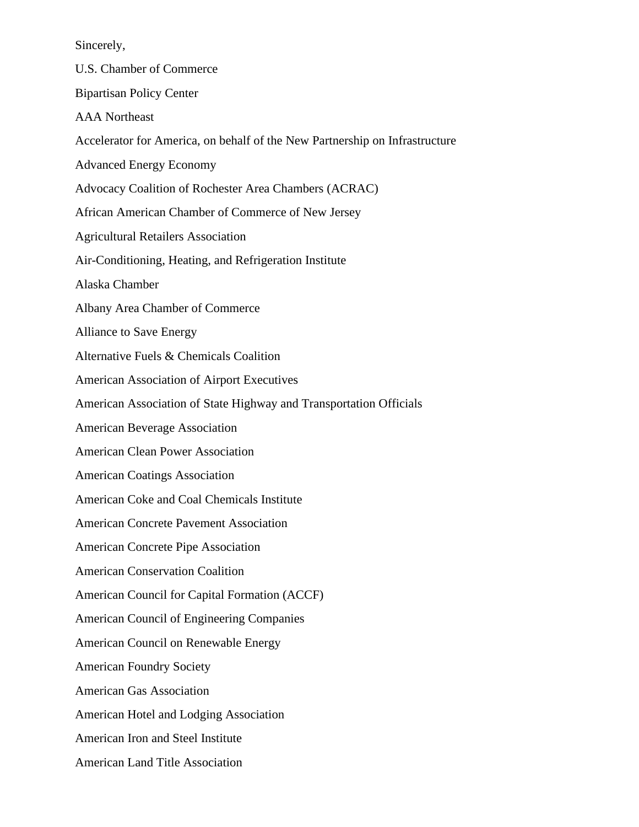Sincerely,

U.S. Chamber of Commerce Bipartisan Policy Center AAA Northeast Accelerator for America, on behalf of the New Partnership on Infrastructure Advanced Energy Economy Advocacy Coalition of Rochester Area Chambers (ACRAC) African American Chamber of Commerce of New Jersey Agricultural Retailers Association Air-Conditioning, Heating, and Refrigeration Institute Alaska Chamber Albany Area Chamber of Commerce Alliance to Save Energy Alternative Fuels & Chemicals Coalition American Association of Airport Executives American Association of State Highway and Transportation Officials American Beverage Association American Clean Power Association American Coatings Association American Coke and Coal Chemicals Institute American Concrete Pavement Association American Concrete Pipe Association American Conservation Coalition American Council for Capital Formation (ACCF) American Council of Engineering Companies American Council on Renewable Energy American Foundry Society American Gas Association American Hotel and Lodging Association American Iron and Steel Institute American Land Title Association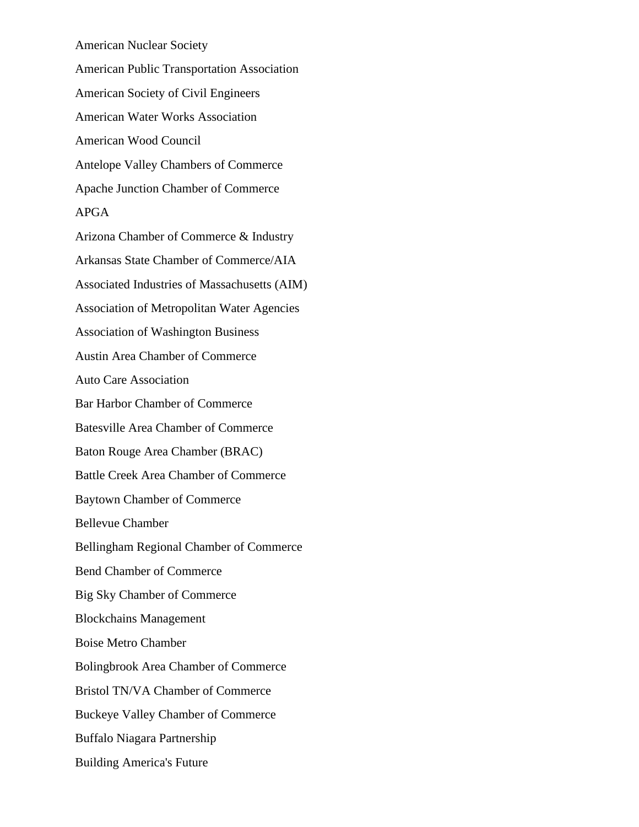American Nuclear Society American Public Transportation Association American Society of Civil Engineers American Water Works Association American Wood Council Antelope Valley Chambers of Commerce Apache Junction Chamber of Commerce APGA Arizona Chamber of Commerce & Industry Arkansas State Chamber of Commerce/AIA Associated Industries of Massachusetts (AIM) Association of Metropolitan Water Agencies Association of Washington Business Austin Area Chamber of Commerce Auto Care Association Bar Harbor Chamber of Commerce Batesville Area Chamber of Commerce Baton Rouge Area Chamber (BRAC) Battle Creek Area Chamber of Commerce Baytown Chamber of Commerce Bellevue Chamber Bellingham Regional Chamber of Commerce Bend Chamber of Commerce Big Sky Chamber of Commerce Blockchains Management Boise Metro Chamber Bolingbrook Area Chamber of Commerce Bristol TN/VA Chamber of Commerce Buckeye Valley Chamber of Commerce Buffalo Niagara Partnership Building America's Future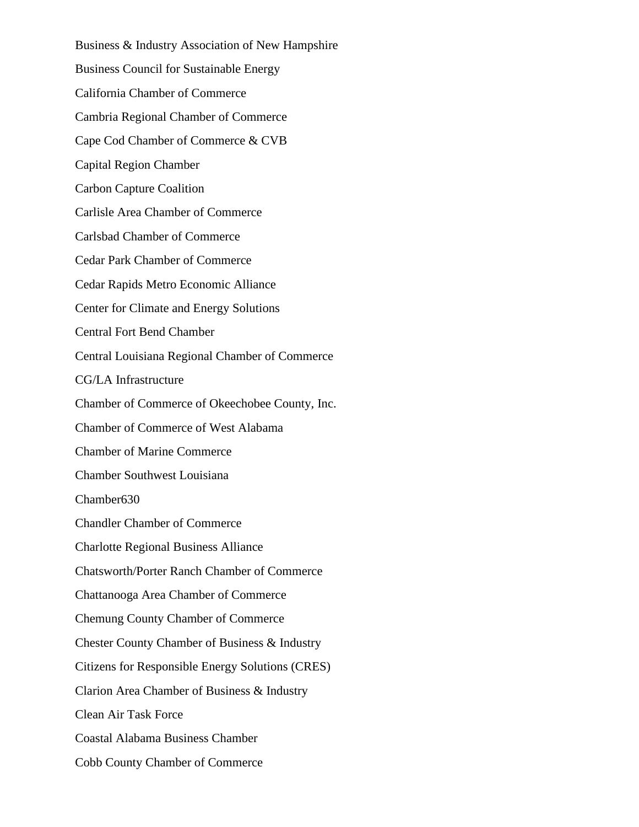Business & Industry Association of New Hampshire Business Council for Sustainable Energy California Chamber of Commerce Cambria Regional Chamber of Commerce Cape Cod Chamber of Commerce & CVB Capital Region Chamber Carbon Capture Coalition Carlisle Area Chamber of Commerce Carlsbad Chamber of Commerce Cedar Park Chamber of Commerce Cedar Rapids Metro Economic Alliance Center for Climate and Energy Solutions Central Fort Bend Chamber Central Louisiana Regional Chamber of Commerce CG/LA Infrastructure Chamber of Commerce of Okeechobee County, Inc. Chamber of Commerce of West Alabama Chamber of Marine Commerce Chamber Southwest Louisiana Chamber630 Chandler Chamber of Commerce Charlotte Regional Business Alliance Chatsworth/Porter Ranch Chamber of Commerce Chattanooga Area Chamber of Commerce Chemung County Chamber of Commerce Chester County Chamber of Business & Industry Citizens for Responsible Energy Solutions (CRES) Clarion Area Chamber of Business & Industry Clean Air Task Force Coastal Alabama Business Chamber Cobb County Chamber of Commerce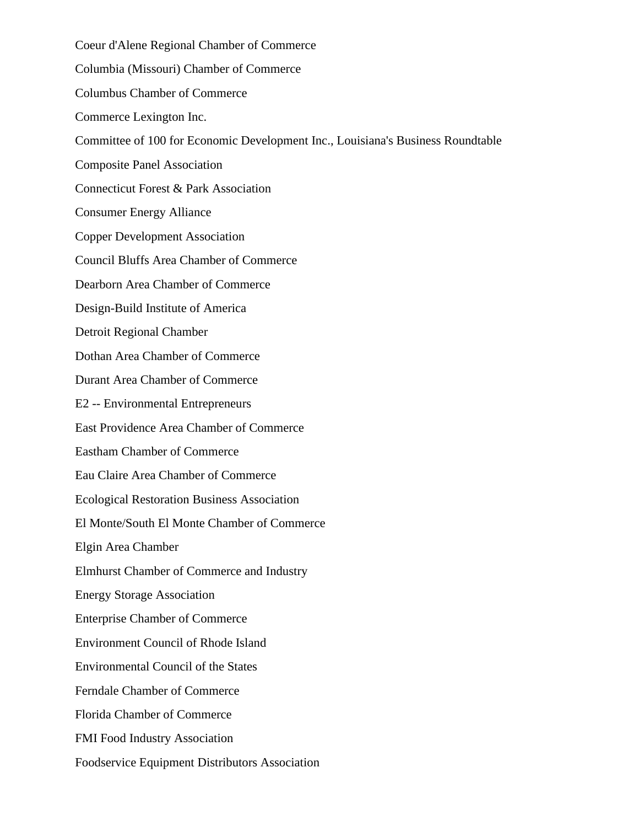Coeur d'Alene Regional Chamber of Commerce Columbia (Missouri) Chamber of Commerce Columbus Chamber of Commerce Commerce Lexington Inc. Committee of 100 for Economic Development Inc., Louisiana's Business Roundtable Composite Panel Association Connecticut Forest & Park Association Consumer Energy Alliance Copper Development Association Council Bluffs Area Chamber of Commerce Dearborn Area Chamber of Commerce Design-Build Institute of America Detroit Regional Chamber Dothan Area Chamber of Commerce Durant Area Chamber of Commerce E2 -- Environmental Entrepreneurs East Providence Area Chamber of Commerce Eastham Chamber of Commerce Eau Claire Area Chamber of Commerce Ecological Restoration Business Association El Monte/South El Monte Chamber of Commerce Elgin Area Chamber Elmhurst Chamber of Commerce and Industry Energy Storage Association Enterprise Chamber of Commerce Environment Council of Rhode Island Environmental Council of the States Ferndale Chamber of Commerce Florida Chamber of Commerce FMI Food Industry Association Foodservice Equipment Distributors Association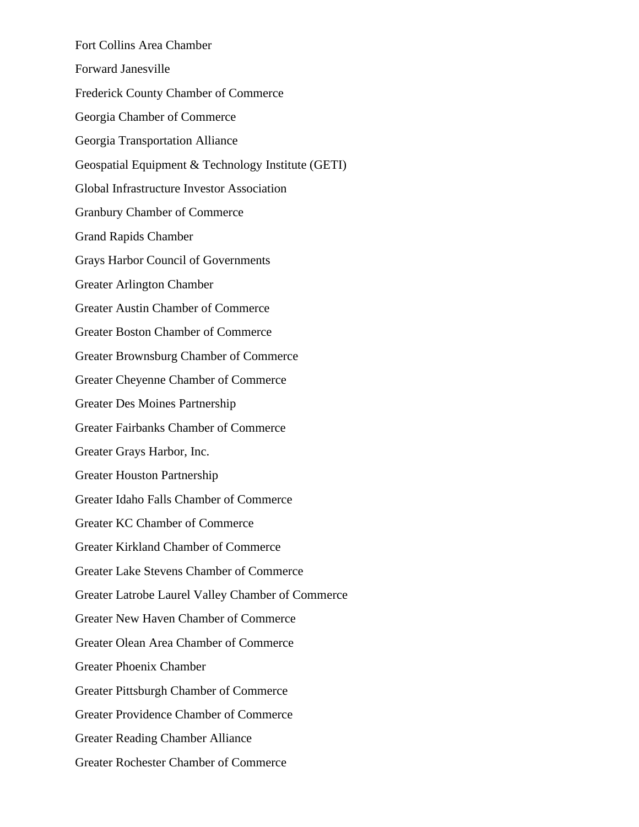Fort Collins Area Chamber Forward Janesville Frederick County Chamber of Commerce Georgia Chamber of Commerce Georgia Transportation Alliance Geospatial Equipment & Technology Institute (GETI) Global Infrastructure Investor Association Granbury Chamber of Commerce Grand Rapids Chamber Grays Harbor Council of Governments Greater Arlington Chamber Greater Austin Chamber of Commerce Greater Boston Chamber of Commerce Greater Brownsburg Chamber of Commerce Greater Cheyenne Chamber of Commerce Greater Des Moines Partnership Greater Fairbanks Chamber of Commerce Greater Grays Harbor, Inc. Greater Houston Partnership Greater Idaho Falls Chamber of Commerce Greater KC Chamber of Commerce Greater Kirkland Chamber of Commerce Greater Lake Stevens Chamber of Commerce Greater Latrobe Laurel Valley Chamber of Commerce Greater New Haven Chamber of Commerce Greater Olean Area Chamber of Commerce Greater Phoenix Chamber Greater Pittsburgh Chamber of Commerce Greater Providence Chamber of Commerce Greater Reading Chamber Alliance Greater Rochester Chamber of Commerce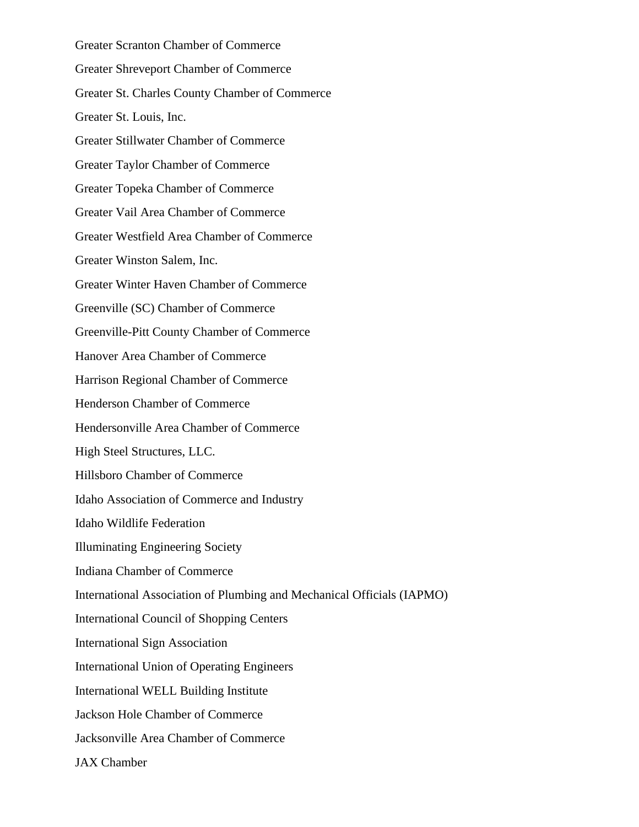Greater Scranton Chamber of Commerce Greater Shreveport Chamber of Commerce Greater St. Charles County Chamber of Commerce Greater St. Louis, Inc. Greater Stillwater Chamber of Commerce Greater Taylor Chamber of Commerce Greater Topeka Chamber of Commerce Greater Vail Area Chamber of Commerce Greater Westfield Area Chamber of Commerce Greater Winston Salem, Inc. Greater Winter Haven Chamber of Commerce Greenville (SC) Chamber of Commerce Greenville-Pitt County Chamber of Commerce Hanover Area Chamber of Commerce Harrison Regional Chamber of Commerce Henderson Chamber of Commerce Hendersonville Area Chamber of Commerce High Steel Structures, LLC. Hillsboro Chamber of Commerce Idaho Association of Commerce and Industry Idaho Wildlife Federation Illuminating Engineering Society Indiana Chamber of Commerce International Association of Plumbing and Mechanical Officials (IAPMO) International Council of Shopping Centers International Sign Association International Union of Operating Engineers International WELL Building Institute Jackson Hole Chamber of Commerce Jacksonville Area Chamber of Commerce JAX Chamber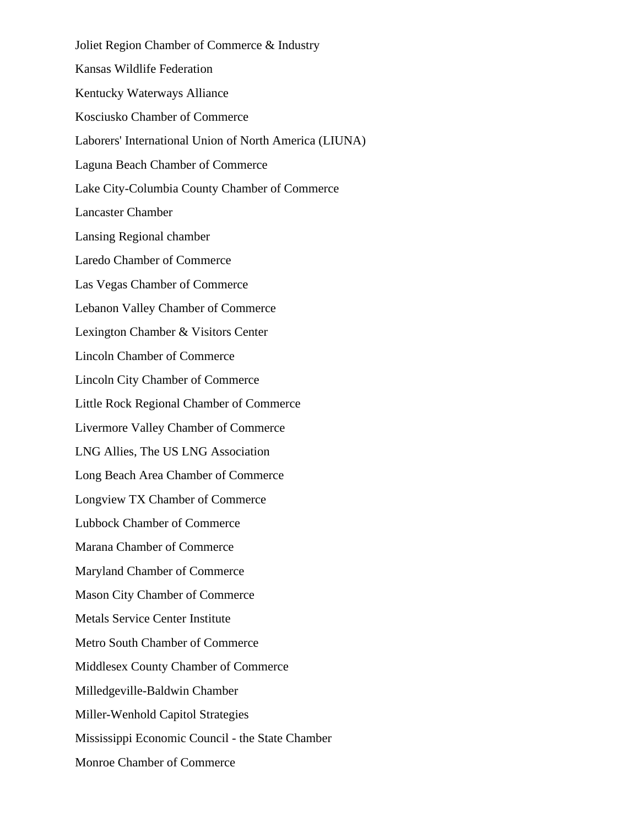Joliet Region Chamber of Commerce & Industry Kansas Wildlife Federation Kentucky Waterways Alliance Kosciusko Chamber of Commerce Laborers' International Union of North America (LIUNA) Laguna Beach Chamber of Commerce Lake City-Columbia County Chamber of Commerce Lancaster Chamber Lansing Regional chamber Laredo Chamber of Commerce Las Vegas Chamber of Commerce Lebanon Valley Chamber of Commerce Lexington Chamber & Visitors Center Lincoln Chamber of Commerce Lincoln City Chamber of Commerce Little Rock Regional Chamber of Commerce Livermore Valley Chamber of Commerce LNG Allies, The US LNG Association Long Beach Area Chamber of Commerce Longview TX Chamber of Commerce Lubbock Chamber of Commerce Marana Chamber of Commerce Maryland Chamber of Commerce Mason City Chamber of Commerce Metals Service Center Institute Metro South Chamber of Commerce Middlesex County Chamber of Commerce Milledgeville-Baldwin Chamber Miller-Wenhold Capitol Strategies Mississippi Economic Council - the State Chamber Monroe Chamber of Commerce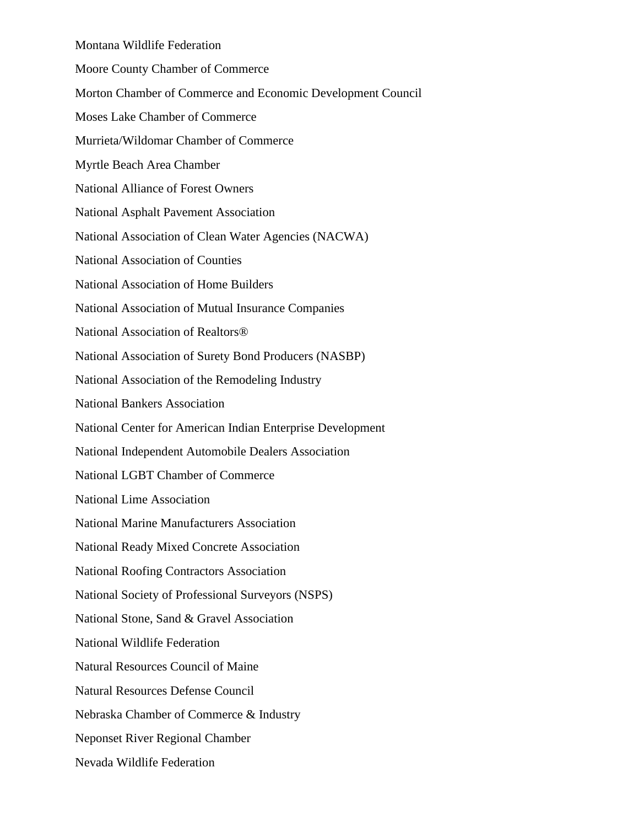Montana Wildlife Federation Moore County Chamber of Commerce Morton Chamber of Commerce and Economic Development Council Moses Lake Chamber of Commerce Murrieta/Wildomar Chamber of Commerce Myrtle Beach Area Chamber National Alliance of Forest Owners National Asphalt Pavement Association National Association of Clean Water Agencies (NACWA) National Association of Counties National Association of Home Builders National Association of Mutual Insurance Companies National Association of Realtors® National Association of Surety Bond Producers (NASBP) National Association of the Remodeling Industry National Bankers Association National Center for American Indian Enterprise Development National Independent Automobile Dealers Association National LGBT Chamber of Commerce National Lime Association National Marine Manufacturers Association National Ready Mixed Concrete Association National Roofing Contractors Association National Society of Professional Surveyors (NSPS) National Stone, Sand & Gravel Association National Wildlife Federation Natural Resources Council of Maine Natural Resources Defense Council Nebraska Chamber of Commerce & Industry Neponset River Regional Chamber Nevada Wildlife Federation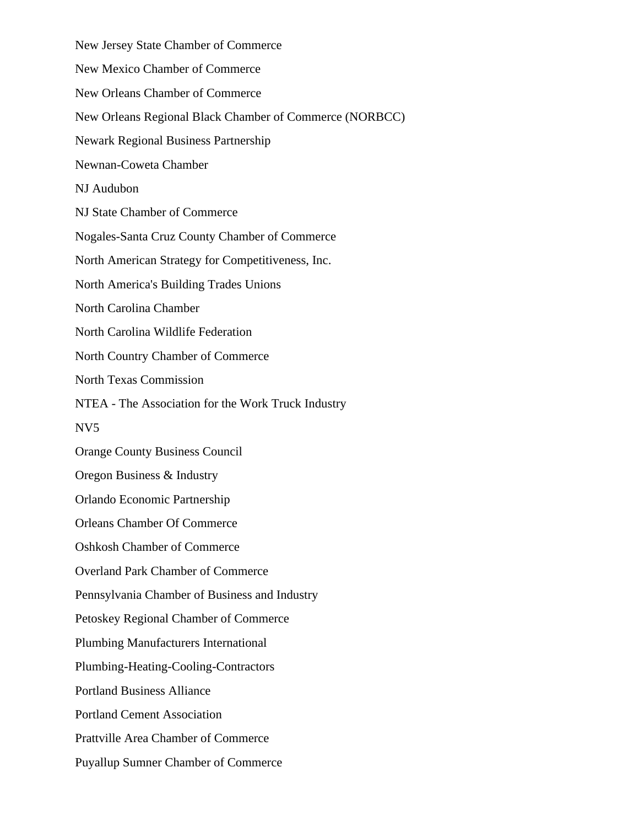New Jersey State Chamber of Commerce New Mexico Chamber of Commerce New Orleans Chamber of Commerce New Orleans Regional Black Chamber of Commerce (NORBCC) Newark Regional Business Partnership Newnan-Coweta Chamber NJ Audubon NJ State Chamber of Commerce Nogales-Santa Cruz County Chamber of Commerce North American Strategy for Competitiveness, Inc. North America's Building Trades Unions North Carolina Chamber North Carolina Wildlife Federation North Country Chamber of Commerce North Texas Commission NTEA - The Association for the Work Truck Industry NV5 Orange County Business Council Oregon Business & Industry Orlando Economic Partnership Orleans Chamber Of Commerce Oshkosh Chamber of Commerce Overland Park Chamber of Commerce Pennsylvania Chamber of Business and Industry Petoskey Regional Chamber of Commerce Plumbing Manufacturers International Plumbing-Heating-Cooling-Contractors Portland Business Alliance Portland Cement Association Prattville Area Chamber of Commerce Puyallup Sumner Chamber of Commerce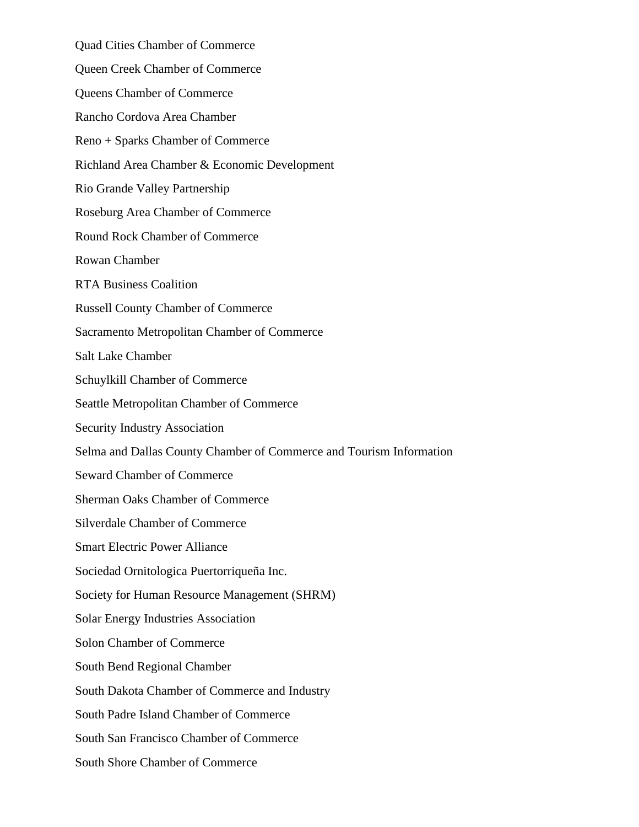Quad Cities Chamber of Commerce Queen Creek Chamber of Commerce Queens Chamber of Commerce Rancho Cordova Area Chamber Reno + Sparks Chamber of Commerce Richland Area Chamber & Economic Development Rio Grande Valley Partnership Roseburg Area Chamber of Commerce Round Rock Chamber of Commerce Rowan Chamber RTA Business Coalition Russell County Chamber of Commerce Sacramento Metropolitan Chamber of Commerce Salt Lake Chamber Schuylkill Chamber of Commerce Seattle Metropolitan Chamber of Commerce Security Industry Association Selma and Dallas County Chamber of Commerce and Tourism Information Seward Chamber of Commerce Sherman Oaks Chamber of Commerce Silverdale Chamber of Commerce Smart Electric Power Alliance Sociedad Ornitologica Puertorriqueña Inc. Society for Human Resource Management (SHRM) Solar Energy Industries Association Solon Chamber of Commerce South Bend Regional Chamber South Dakota Chamber of Commerce and Industry South Padre Island Chamber of Commerce South San Francisco Chamber of Commerce South Shore Chamber of Commerce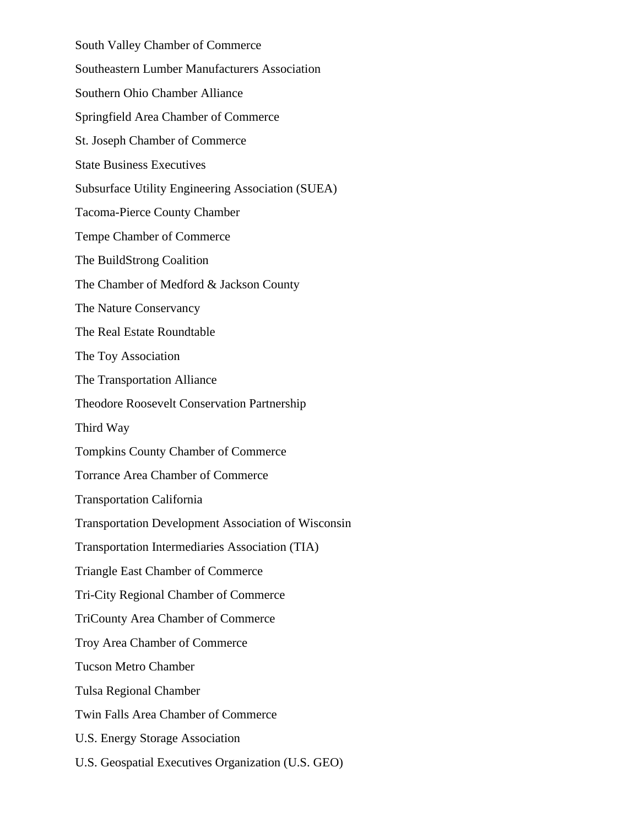South Valley Chamber of Commerce Southeastern Lumber Manufacturers Association Southern Ohio Chamber Alliance Springfield Area Chamber of Commerce St. Joseph Chamber of Commerce State Business Executives Subsurface Utility Engineering Association (SUEA) Tacoma-Pierce County Chamber Tempe Chamber of Commerce The BuildStrong Coalition The Chamber of Medford & Jackson County The Nature Conservancy The Real Estate Roundtable The Toy Association The Transportation Alliance Theodore Roosevelt Conservation Partnership Third Way Tompkins County Chamber of Commerce Torrance Area Chamber of Commerce Transportation California Transportation Development Association of Wisconsin Transportation Intermediaries Association (TIA) Triangle East Chamber of Commerce Tri-City Regional Chamber of Commerce TriCounty Area Chamber of Commerce Troy Area Chamber of Commerce Tucson Metro Chamber Tulsa Regional Chamber Twin Falls Area Chamber of Commerce U.S. Energy Storage Association U.S. Geospatial Executives Organization (U.S. GEO)